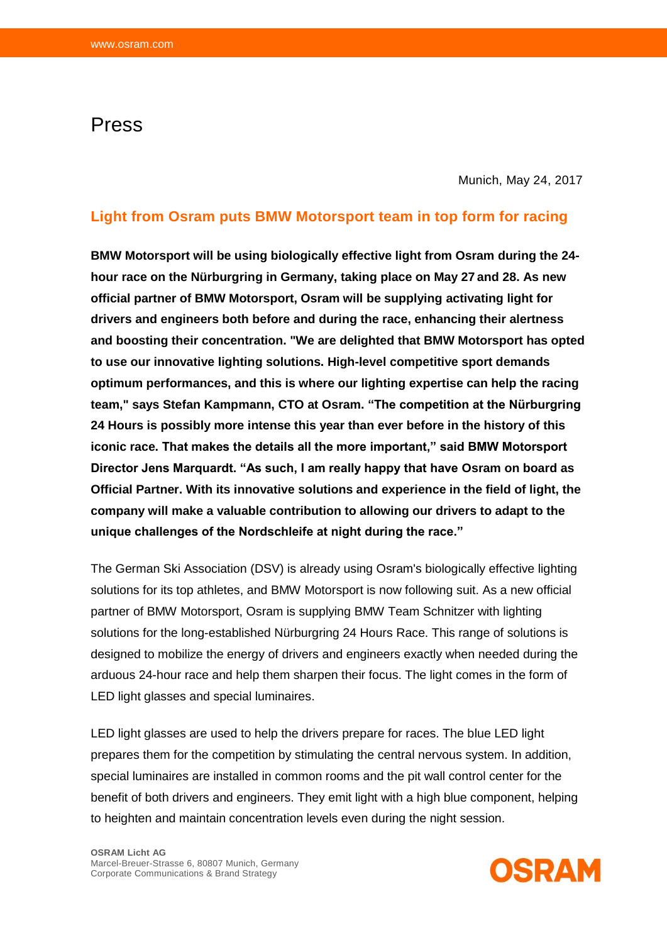## Press

Munich, May 24, 2017

## **Light from Osram puts BMW Motorsport team in top form for racing**

**BMW Motorsport will be using biologically effective light from Osram during the 24 hour race on the Nürburgring in Germany, taking place on May 27 and 28. As new official partner of BMW Motorsport, Osram will be supplying activating light for drivers and engineers both before and during the race, enhancing their alertness and boosting their concentration. "We are delighted that BMW Motorsport has opted to use our innovative lighting solutions. High-level competitive sport demands optimum performances, and this is where our lighting expertise can help the racing team," says Stefan Kampmann, CTO at Osram. "The competition at the Nürburgring 24 Hours is possibly more intense this year than ever before in the history of this iconic race. That makes the details all the more important," said BMW Motorsport Director Jens Marquardt. "As such, I am really happy that have Osram on board as Official Partner. With its innovative solutions and experience in the field of light, the company will make a valuable contribution to allowing our drivers to adapt to the unique challenges of the Nordschleife at night during the race."**

The German Ski Association (DSV) is already using Osram's biologically effective lighting solutions for its top athletes, and BMW Motorsport is now following suit. As a new official partner of BMW Motorsport, Osram is supplying BMW Team Schnitzer with lighting solutions for the long-established Nürburgring 24 Hours Race. This range of solutions is designed to mobilize the energy of drivers and engineers exactly when needed during the arduous 24-hour race and help them sharpen their focus. The light comes in the form of LED light glasses and special luminaires.

LED light glasses are used to help the drivers prepare for races. The blue LED light prepares them for the competition by stimulating the central nervous system. In addition, special luminaires are installed in common rooms and the pit wall control center for the benefit of both drivers and engineers. They emit light with a high blue component, helping to heighten and maintain concentration levels even during the night session.

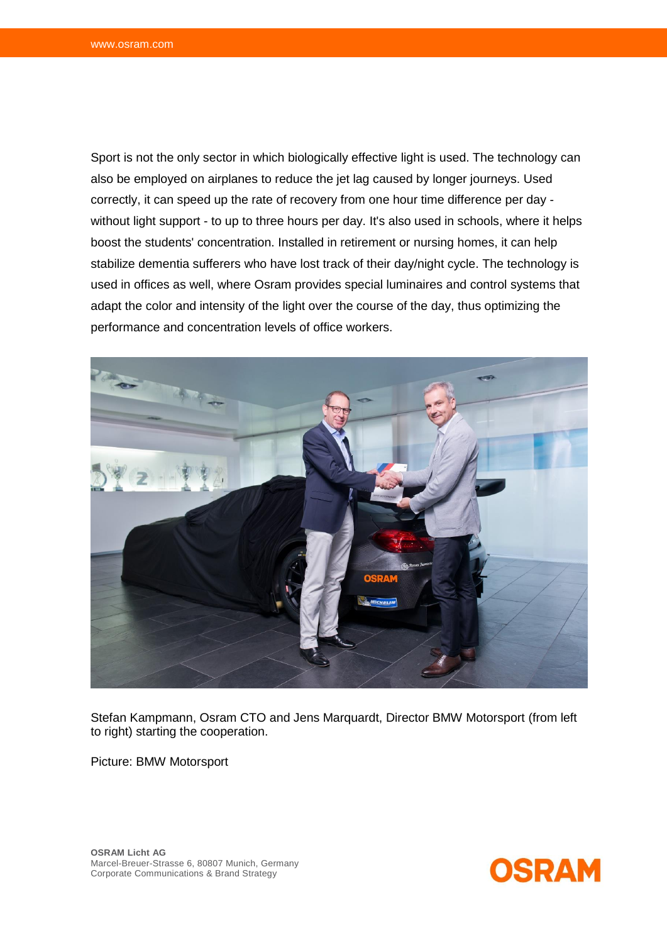Sport is not the only sector in which biologically effective light is used. The technology can also be employed on airplanes to reduce the jet lag caused by longer journeys. Used correctly, it can speed up the rate of recovery from one hour time difference per day without light support - to up to three hours per day. It's also used in schools, where it helps boost the students' concentration. Installed in retirement or nursing homes, it can help stabilize dementia sufferers who have lost track of their day/night cycle. The technology is used in offices as well, where Osram provides special luminaires and control systems that adapt the color and intensity of the light over the course of the day, thus optimizing the performance and concentration levels of office workers.



Stefan Kampmann, Osram CTO and Jens Marquardt, Director BMW Motorsport (from left to right) starting the cooperation.

Picture: BMW Motorsport



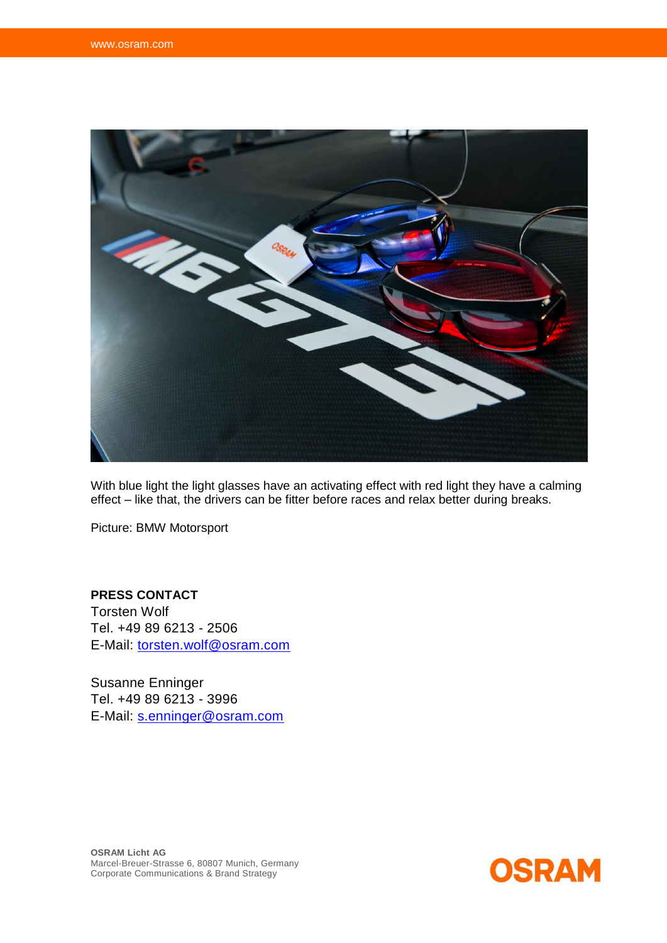

With blue light the light glasses have an activating effect with red light they have a calming effect – like that, the drivers can be fitter before races and relax better during breaks.

Picture: BMW Motorsport

## **PRESS CONTACT**

Torsten Wolf Tel. +49 89 6213 - 2506 E-Mail: [torsten.wolf@osram.com](mailto:torsten.wolf@osram.com)

Susanne Enninger Tel. +49 89 6213 - 3996 E-Mail: [s.enninger@osram.com](mailto:s.enninger@osram.com)